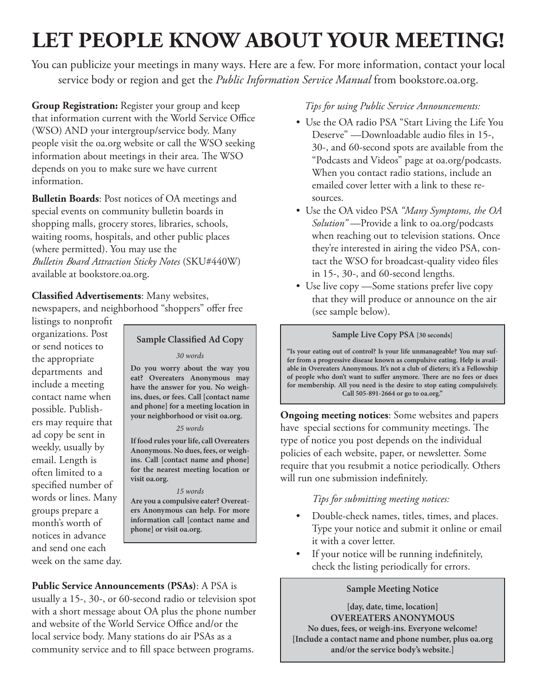# **LET PEOPLE KNOW ABOUT YOUR MEETING!**

You can publicize your meetings in many ways. Here are a few. For more information, contact your local service body or region and get the *Public Information Service Manual* from bookstore.oa.org.

**Group Registration:** Register your group and keep that information current with the World Service Office (WSO) AND your intergroup/service body. Many people visit the oa.org website or call the WSO seeking information about meetings in their area. The WSO depends on you to make sure we have current information.

**Bulletin Boards**: Post notices of OA meetings and special events on community bulletin boards in shopping malls, grocery stores, libraries, schools, waiting rooms, hospitals, and other public places (where permitted). You may use the *<sup>B</sup>ulletin Board Attraction Sticky Notes* (SKU#440W) available at bookstore.oa.org.

**Classified Advertisements**: Many websites, newspapers, and neighborhood "shoppers" offer free

listings to nonprofit organizations. Post or send notices to the appropriate departments and include a meeting contact name when possible. Publishers may require that ad copy be sent in weekly, usually by email. Length is often limited to a specified number of words or lines. Many groups prepare a month's worth of notices in advance and send one each week on the same day.

## **Sample Classified Ad Copy**

#### *30 words*

**Do you worry about the way you eat? Overeaters Anonymous may have the answer for you. No weighins, dues, or fees. Call [contact name and phone] for a meeting location in your neighborhood or visit oa.org.**

#### *25 words*

**If food rules your life, call Overeaters Anonymous. No dues, fees, or weighins. Call [contact name and phone] for the nearest meeting location or visit oa.org.**

# *15 words*

**Are you a compulsive eater? Overeaters Anonymous can help. For more information call [contact name and phone] or visit oa.org.**

**Public Service Announcements (PSAs)**: A PSA is usually a 15-, 30-, or 60-second radio or television spot with a short message about OA plus the phone number and website of the World Service Office and/or the local service body. Many stations do air PSAs as a community service and to fill space between programs.

## *Tips for using Public Service Announcements:*

- Use the OA radio PSA "Start Living the Life You Deserve" —Downloadable audio files in 15-, 30-, and 60-second spots are available from the "Podcasts and Videos" page at oa.org/podcasts. When you contact radio stations, include an emailed cover letter with a link to these resources.
- Use the OA video PSA *"Many Symptoms, the OA Solution"* —Provide a link to oa.org/podcasts when reaching out to television stations. Once they're interested in airing the video PSA, contact the WSO for broadcast-quality video files in 15-, 30-, and 60-second lengths.
- Use live copy —Some stations prefer live copy that they will produce or announce on the air (see sample below).

#### **Sample Live Copy PSA [30 seconds]**

**"Is your eating out of control? Is your life unmanageable? You may suffer from a progressive disease known as compulsive eating. Help is available in Overeaters Anonymous. It's not a club of dieters; it's a Fellowship of people who don't want to suffer anymore. There are no fees or dues for membership. All you need is the desire to stop eating compulsively. Call 505-891-2664 or go to oa.org."**

**Ongoing meeting notices**: Some websites and papers have special sections for community meetings. The type of notice you post depends on the individual policies of each website, paper, or newsletter. Some require that you resubmit a notice periodically. Others will run one submission indefinitely.

# *Tips for submitting meeting notices:*

- Double-check names, titles, times, and places. Type your notice and submit it online or email it with a cover letter.
- If your notice will be running indefinitely, check the listing periodically for errors.

## **Sample Meeting Notice**

**[day, date, time, location] OVEREATERS ANONYMOUS No dues, fees, or weigh-ins. Everyone welcome! [Include a contact name and phone number, plus oa.org and/or the service body's website.]**